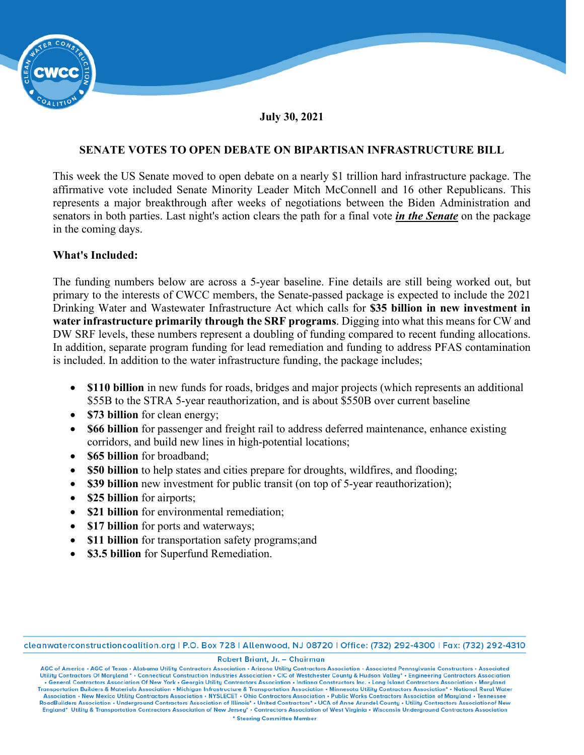

### **July 30, 2021**

# **SENATE VOTES TO OPEN DEBATE ON BIPARTISAN INFRASTRUCTURE BILL**

This week the US Senate moved to open debate on a nearly \$1 trillion hard infrastructure package. The affirmative vote included Senate Minority Leader Mitch McConnell and 16 other Republicans. This represents a major breakthrough after weeks of negotiations between the Biden Administration and senators in both parties. Last night's action clears the path for a final vote *in the Senate* on the package in the coming days.

## **What's Included:**

The funding numbers below are across a 5-year baseline. Fine details are still being worked out, but primary to the interests of CWCC members, the Senate-passed package is expected to include the 2021 Drinking Water and Wastewater Infrastructure Act which calls for **\$35 billion in new investment in water infrastructure primarily through the SRF programs**. Digging into what this means for CW and DW SRF levels, these numbers represent a doubling of funding compared to recent funding allocations. In addition, separate program funding for lead remediation and funding to address PFAS contamination is included. In addition to the water infrastructure funding, the package includes;

- **\$110 billion** in new funds for roads, bridges and major projects (which represents an additional \$55B to the STRA 5-year reauthorization, and is about \$550B over current baseline
- **\$73 billion** for clean energy;
- **\$66 billion** for passenger and freight rail to address deferred maintenance, enhance existing corridors, and build new lines in high-potential locations;
- **\$65 billion** for broadband;
- **\$50 billion** to help states and cities prepare for droughts, wildfires, and flooding;
- **\$39 billion** new investment for public transit (on top of 5-year reauthorization);
- **\$25 billion** for airports;
- **\$21 billion** for environmental remediation;
- **\$17 billion** for ports and waterways:
- **\$11 billion** for transportation safety programs;and
- **\$3.5 billion** for Superfund Remediation.

cleanwaterconstructioncoalition.org | P.O. Box 728 | Allenwood, NJ 08720 | Office: (732) 292-4300 | Fax: (732) 292-4310

#### Robert Briant, Jr. - Chairman

AGC of America • AGC of Texas • Alabama Utility Contractors Association • Arizona Utility Contractors Association • Associated Pennsylvania Constructors • Associated Utility Contractors • Associated Utility Contractors Ass . General Contractors Association Of New York . Georgia Utility Contractors Association . Indiana Constructors Inc. . Long Island Contractors Association . Maryland Transportation Builders & Materials Association • Michigan Infrastructure & Transportation Association • Minnesota Utility Contractors Association\* • National Rural Water Association • New Mexico Utility Contractors Association • NYSLECET • Ohio Contractors Association • Public Works Contractors Association of Maryland • Tennessee<br>RoadBuilders Association • Underground Contractors Associati England\* Utility & Transportation Contractors Association of New Jersey\* . Contractors Association of West Virginia . Wisconsin Underground Contractors Association \* Steering Committee Member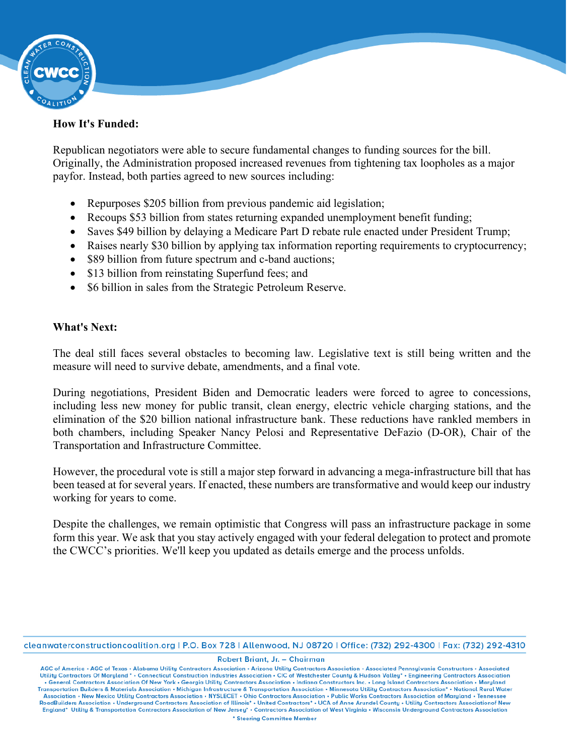

## **How It's Funded:**

Republican negotiators were able to secure fundamental changes to funding sources for the bill. Originally, the Administration proposed increased revenues from tightening tax loopholes as a major payfor. Instead, both parties agreed to new sources including:

- Repurposes \$205 billion from previous pandemic aid legislation;
- Recoups \$53 billion from states returning expanded unemployment benefit funding;
- Saves \$49 billion by delaying a Medicare Part D rebate rule enacted under President Trump;
- Raises nearly \$30 billion by applying tax information reporting requirements to cryptocurrency;
- \$89 billion from future spectrum and c-band auctions;
- \$13 billion from reinstating Superfund fees; and
- \$6 billion in sales from the Strategic Petroleum Reserve.

# **What's Next:**

The deal still faces several obstacles to becoming law. Legislative text is still being written and the measure will need to survive debate, amendments, and a final vote.

During negotiations, President Biden and Democratic leaders were forced to agree to concessions, including less new money for public transit, clean energy, electric vehicle charging stations, and the elimination of the \$20 billion national infrastructure bank. These reductions have rankled members in both chambers, including Speaker Nancy Pelosi and Representative DeFazio (D-OR), Chair of the Transportation and Infrastructure Committee.

However, the procedural vote is still a major step forward in advancing a mega-infrastructure bill that has been teased at for several years. If enacted, these numbers are transformative and would keep our industry working for years to come.

Despite the challenges, we remain optimistic that Congress will pass an infrastructure package in some form this year. We ask that you stay actively engaged with your federal delegation to protect and promote the CWCC's priorities. We'll keep you updated as details emerge and the process unfolds.

cleanwaterconstructioncoalition.org | P.O. Box 728 | Allenwood, NJ 08720 | Office: (732) 292-4300 | Fax: (732) 292-4310

Robert Briant, Jr. - Chairman

AGC of America • AGC of Texas • Alabama Utility Contractors Association • Arizona Utility Contractors Association • Associated Pennsylvania Constructors • Associated<br>Utility Contractors Of Maryland \* • Connecticut Construc . General Contractors Association Of New York . Georgia Utility Contractors Association . Indiana Constructors Inc. . Long Island Contractors Association . Maryland Transportation Builders & Materials Association • Michigan Infrastructure & Transportation Association • Minnesota Utility Contractors Association\* • National Rural Water Association • New Mexico Utility Contractors Association • NYSLECET • Ohio Contractors Association • Public Works Contractors Association of Maryland • Tennessee<br>RoadBuilders Association • Underground Contractors Associati England\* Utility & Transportation Contractors Association of New Jersey\* . Contractors Association of West Virginia . Wisconsin Underground Contractors Association \* Steering Committee Member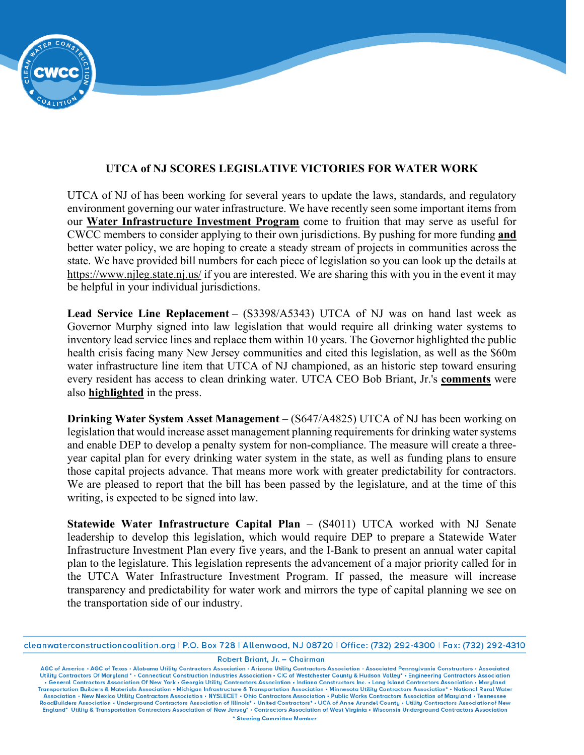# **UTCA of NJ SCORES LEGISLATIVE VICTORIES FOR WATER WORK**

UTCA of NJ of has been working for several years to update the laws, standards, and regulatory environment governing our water infrastructure. We have recently seen some important items from our **[Water Infrastructure Investment Program](https://r20.rs6.net/tn.jsp?f=0017kzxS2iirtaqh7L4UelZ2y_tktFZJQ80-rikdG6M083zKnCBANvUK3bpKrjEb-vTkLOFo52umbKkLj1KLiweByC9NyhG-devugir4x8r8AlgotA95BTWFbrPThYg40NGSD8gaTZw_x0dtOwtGcVryHcRurvChnityCnCpM1mIKXMdnQg49VDasmlS87wPd6-5sZXxJRqZUYfqiMe_U0FMsIiKr9GoO5NWNlwbuOE6hcAcOdHjaVVqg==&c=2Alj8C0g5uUcMqfQmqQTHTh_Q8CIBpdAy3JZOKMlmfa9QlWs5PQP_A==&ch=rHZq6hpzQT2flO5N2Dw-gNBYPg0G7Hr89b5eqgPqtWPIWiWSfZVEYQ==)** come to fruition that may serve as useful for CWCC members to consider applying to their own jurisdictions. By pushing for more funding **and** better water policy, we are hoping to create a steady stream of projects in communities across the state. We have provided bill numbers for each piece of legislation so you can look up the details at <https://www.njleg.state.nj.us/> if you are interested. We are sharing this with you in the event it may be helpful in your individual jurisdictions.

**Lead Service Line Replacement** – (S3398/A5343) UTCA of NJ was on hand last week as Governor Murphy signed into law legislation that would require all drinking water systems to inventory lead service lines and replace them within 10 years. The Governor highlighted the public health crisis facing many New Jersey communities and cited this legislation, as well as the \$60m water infrastructure line item that UTCA of NJ championed, as an historic step toward ensuring every resident has access to clean drinking water. UTCA CEO Bob Briant, Jr.'s **[comments](https://r20.rs6.net/tn.jsp?f=0017kzxS2iirtaqh7L4UelZ2y_tktFZJQ80-rikdG6M083zKnCBANvUK9FrUVwtB9XIhj3QX179LnK-bbL2IjRJ7UGisulpo6ROovCaNGO7vEvzEhuf0vgMWN6miRp2ZBEWSbaTNDh603VPI8Tm7SGcMhaR4_BpVXbZh5LiC2PBhPywXr7C3DLJA-wJm2k-2lrOmZv_Q-15YEU6QIn825KsWBWcFW71HOJmP9npkvJAqkr_ucrXXXroIm3HMeQjXmaoEvuH41GUD6q7kWQuH19o-7A6AbVR70sa7kVNQtPHAEdyrqO_hK0OR-jVMhXfBOFZqlK1BWRc62_bqdAOBBqAyRFpnqfFuiOKd4XdoGwgtRkFgxy6gdT2896pauFD4ymzgjBuFSQ6ts5pnUY6vjDfPjWsOQZYC_oQnMl6WYB--x5wqpBng4UMXFPf3-pquTXtOnn7fkn85m6YV4vMC6l9AP2d5eDLYzVkTrKXAemhtevK11f0oksB9C5N3HlbyDxypw8bCSbGCe-bUYB2xDRZ1eXvR_msKKhY&c=2Alj8C0g5uUcMqfQmqQTHTh_Q8CIBpdAy3JZOKMlmfa9QlWs5PQP_A==&ch=rHZq6hpzQT2flO5N2Dw-gNBYPg0G7Hr89b5eqgPqtWPIWiWSfZVEYQ==)** were also **[highlighted](https://r20.rs6.net/tn.jsp?f=0017kzxS2iirtaqh7L4UelZ2y_tktFZJQ80-rikdG6M083zKnCBANvUK9FrUVwtB9XIr47ZbpmLP-li1XE7zWQDQ0HI5t0RU0d2RWH6_PoIy6GbJSLL4mWLY0GmK5UwxUKFQi2T4G-Qa3TKK1wOJzm0e1Xdj_SHwiNjtsMkEwiZERFGGhgbVFu7e_1suU_w_RclLhD-RhrEcafh6Ia2fqdstek2aGTD6GtEjjDr-I99kwia60qte_GReviYlysn-TbgRLNJC4dzD1QtSeKqaRdtYgzUnjKTlvQqiD8WCD9w6-Q=&c=2Alj8C0g5uUcMqfQmqQTHTh_Q8CIBpdAy3JZOKMlmfa9QlWs5PQP_A==&ch=rHZq6hpzQT2flO5N2Dw-gNBYPg0G7Hr89b5eqgPqtWPIWiWSfZVEYQ==)** in the press.

**Drinking Water System Asset Management** – (S647/A4825) UTCA of NJ has been working on legislation that would increase asset management planning requirements for drinking water systems and enable DEP to develop a penalty system for non-compliance. The measure will create a threeyear capital plan for every drinking water system in the state, as well as funding plans to ensure those capital projects advance. That means more work with greater predictability for contractors. We are pleased to report that the bill has been passed by the legislature, and at the time of this writing, is expected to be signed into law.

**Statewide Water Infrastructure Capital Plan** – (S4011) UTCA worked with NJ Senate leadership to develop this legislation, which would require DEP to prepare a Statewide Water Infrastructure Investment Plan every five years, and the I-Bank to present an annual water capital plan to the legislature. This legislation represents the advancement of a major priority called for in the UTCA Water Infrastructure Investment Program. If passed, the measure will increase transparency and predictability for water work and mirrors the type of capital planning we see on the transportation side of our industry.

Robert Briant, Jr. - Chairman

AGC of America • AGC of Texas • Alabama Utility Contractors Association • Arizona Utility Contractors Association • Associated Pennsylvania Constructors • Associated Utility Contractors Of Maryland • • Connecticut Construc . General Contractors Association Of New York . Georgia Utility Contractors Association . Indiana Constructors Inc. . Long Island Contractors Association . Maryland Transportation Builders & Materials Association • Michigan Infrastructure & Transportation Association • Minnesota Utility Contractors Association\* • National Rural Water Association • New Mexico Utility Contractors Association • NYSLECET • Ohio Contractors Association • Public Works Contractors Association of Maryland • Tennessee<br>RoadBuilders Association • Underground Contractors Associati England\* Utility & Transportation Contractors Association of New Jersey\* . Contractors Association of West Virginia . Wisconsin Underground Contractors Association \* Steering Committee Member

cleanwaterconstructioncoalition.org | P.O. Box 728 | Allenwood, NJ 08720 | Office: (732) 292-4300 | Fax: (732) 292-4310